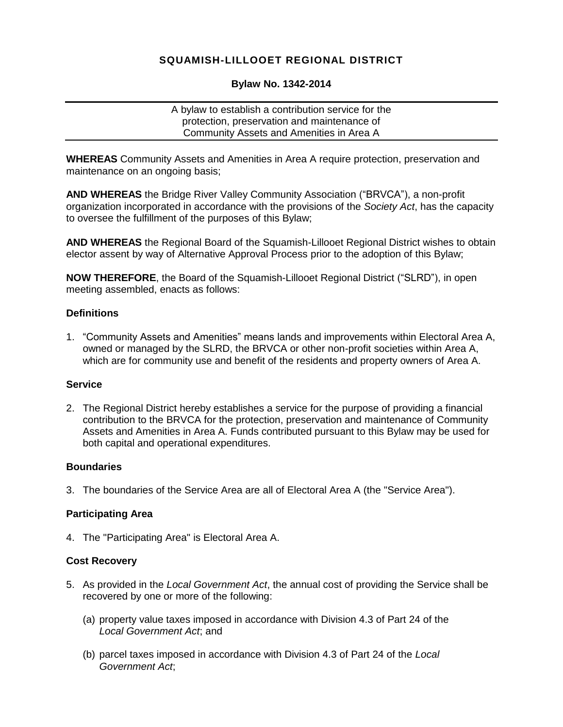# **SQUAMISH-LILLOOET REGIONAL DISTRICT**

# **Bylaw No. 1342-2014**

A bylaw to establish a contribution service for the protection, preservation and maintenance of Community Assets and Amenities in Area A

**WHEREAS** Community Assets and Amenities in Area A require protection, preservation and maintenance on an ongoing basis;

**AND WHEREAS** the Bridge River Valley Community Association ("BRVCA"), a non-profit organization incorporated in accordance with the provisions of the *Society Act*, has the capacity to oversee the fulfillment of the purposes of this Bylaw;

**AND WHEREAS** the Regional Board of the Squamish-Lillooet Regional District wishes to obtain elector assent by way of Alternative Approval Process prior to the adoption of this Bylaw;

**NOW THEREFORE**, the Board of the Squamish-Lillooet Regional District ("SLRD"), in open meeting assembled, enacts as follows:

# **Definitions**

1. "Community Assets and Amenities" means lands and improvements within Electoral Area A, owned or managed by the SLRD, the BRVCA or other non-profit societies within Area A, which are for community use and benefit of the residents and property owners of Area A.

# **Service**

2. The Regional District hereby establishes a service for the purpose of providing a financial contribution to the BRVCA for the protection, preservation and maintenance of Community Assets and Amenities in Area A. Funds contributed pursuant to this Bylaw may be used for both capital and operational expenditures.

#### **Boundaries**

3. The boundaries of the Service Area are all of Electoral Area A (the "Service Area").

# **Participating Area**

4. The "Participating Area" is Electoral Area A.

#### **Cost Recovery**

- 5. As provided in the *Local Government Act*, the annual cost of providing the Service shall be recovered by one or more of the following:
	- (a) property value taxes imposed in accordance with Division 4.3 of Part 24 of the *Local Government Act*; and
	- (b) parcel taxes imposed in accordance with Division 4.3 of Part 24 of the *Local Government Act*;